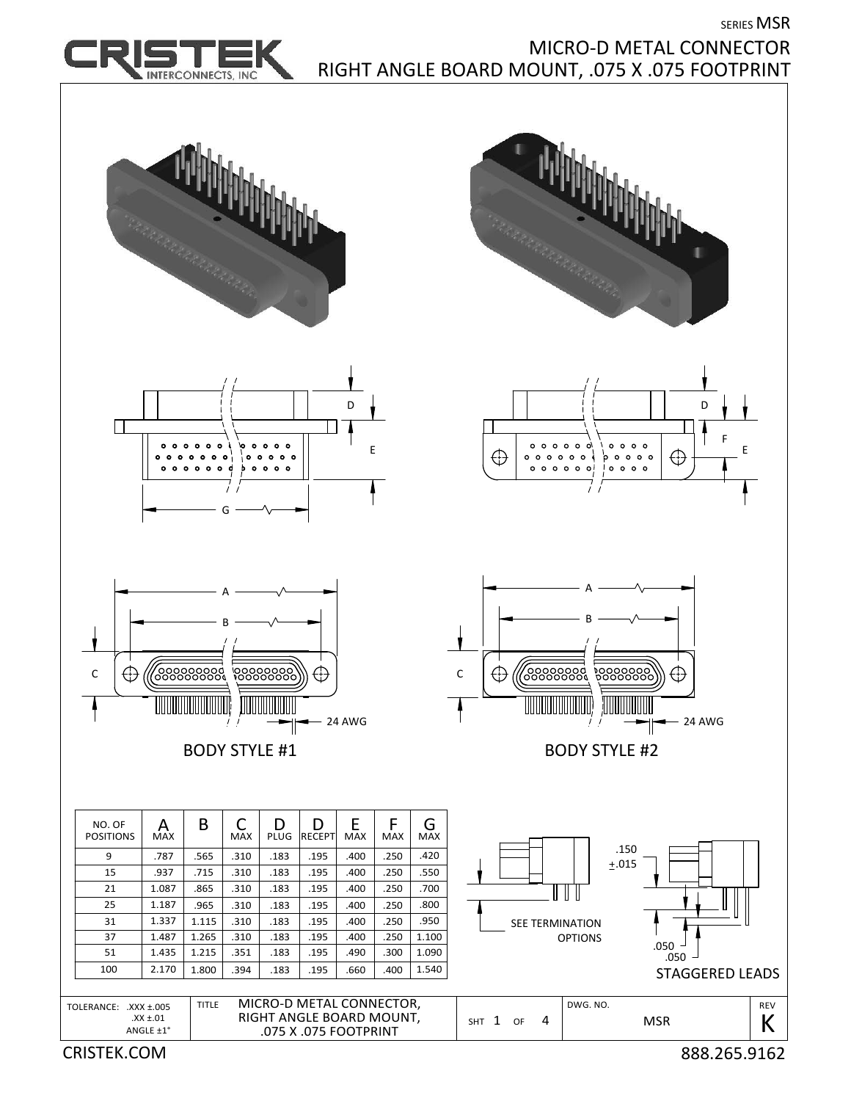SERIES MSR



## MICRO‐D METAL CONNECTOR RIGHT ANGLE BOARD MOUNT, .075 X .075 FOOTPRINT

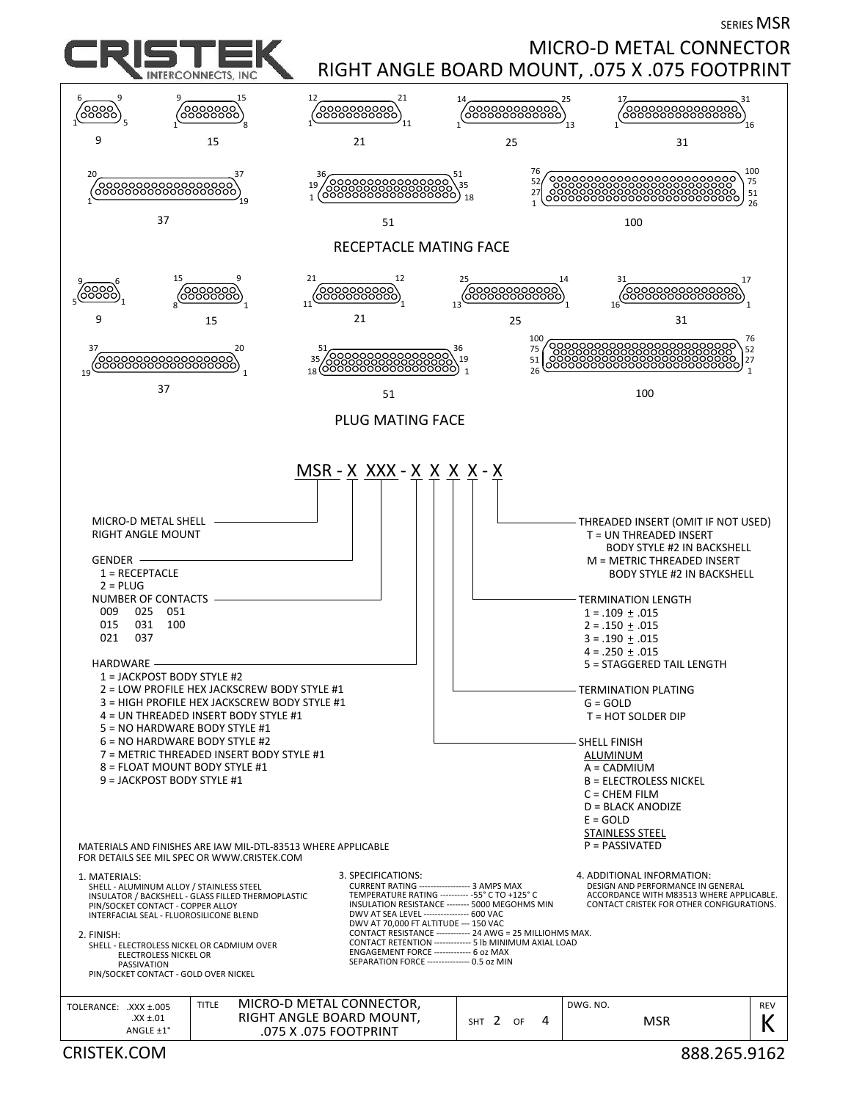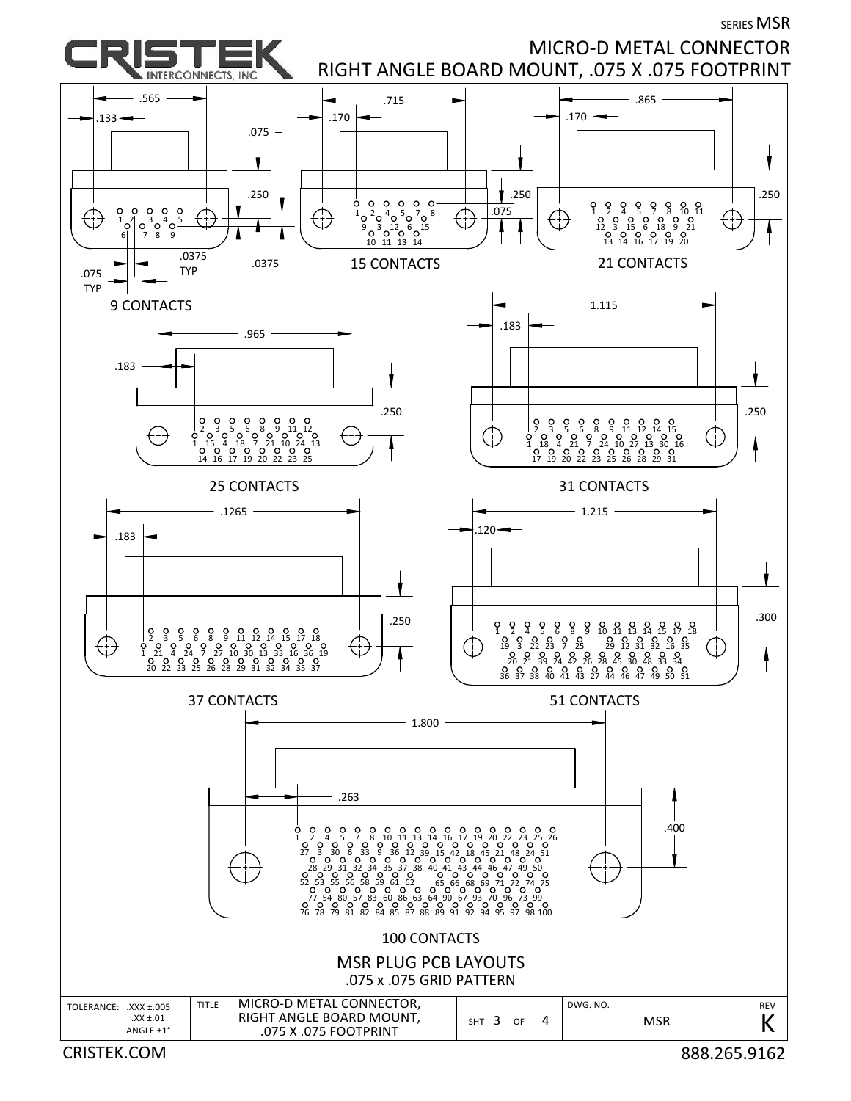